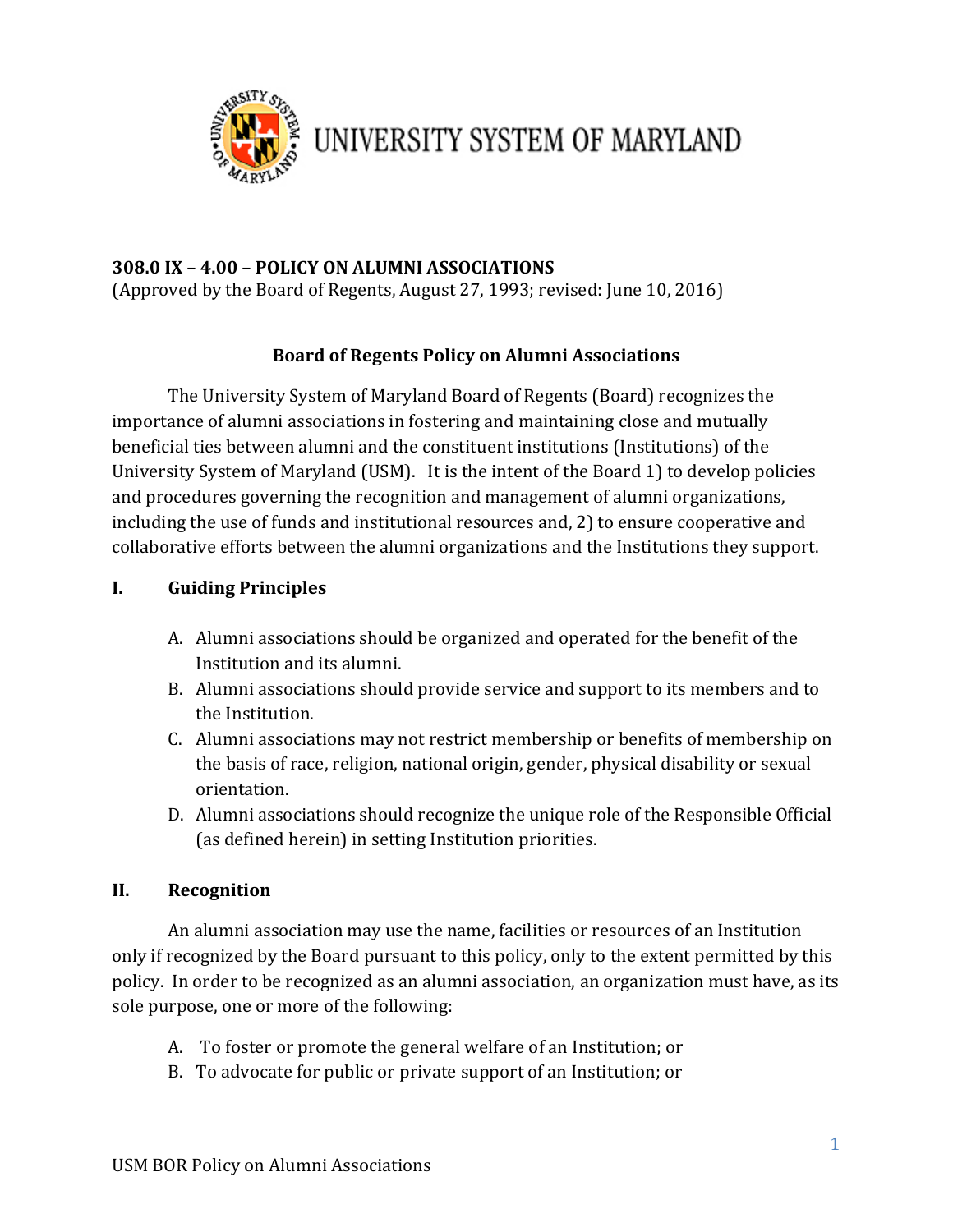

UNIVERSITY SYSTEM OF MARYLAND

### **308.0 IX – 4.00 – POLICY ON ALUMNI ASSOCIATIONS**

(Approved by the Board of Regents, August 27, 1993; revised: June 10, 2016)

### **Board of Regents Policy on Alumni Associations**

The University System of Maryland Board of Regents (Board) recognizes the importance of alumni associations in fostering and maintaining close and mutually beneficial ties between alumni and the constituent institutions (Institutions) of the University System of Maryland (USM). It is the intent of the Board 1) to develop policies and procedures governing the recognition and management of alumni organizations, including the use of funds and institutional resources and, 2) to ensure cooperative and collaborative efforts between the alumni organizations and the Institutions they support.

### **I. Guiding Principles**

- A. Alumni associations should be organized and operated for the benefit of the Institution and its alumni.
- B. Alumni associations should provide service and support to its members and to the Institution.
- C. Alumni associations may not restrict membership or benefits of membership on the basis of race, religion, national origin, gender, physical disability or sexual orientation.
- D. Alumni associations should recognize the unique role of the Responsible Official (as defined herein) in setting Institution priorities.

#### **II. Recognition**

An alumni association may use the name, facilities or resources of an Institution only if recognized by the Board pursuant to this policy, only to the extent permitted by this policy. In order to be recognized as an alumni association, an organization must have, as its sole purpose, one or more of the following:

- A. To foster or promote the general welfare of an Institution; or
- B. To advocate for public or private support of an Institution; or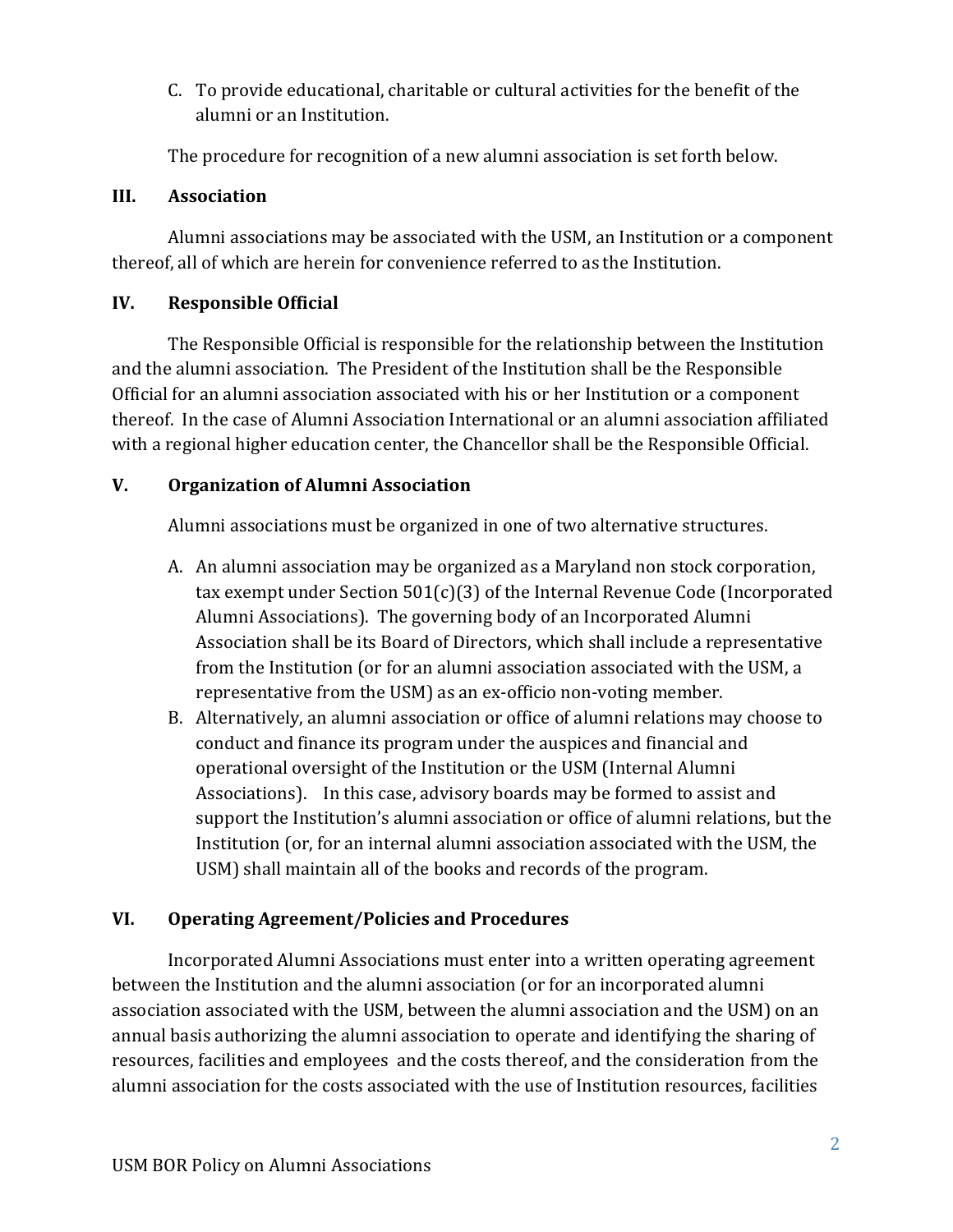C. To provide educational, charitable or cultural activities for the benefit of the alumni or an Institution.

The procedure for recognition of a new alumni association is set forth below.

### **III. Association**

Alumni associations may be associated with the USM, an Institution or a component thereof, all of which are herein for convenience referred to as the Institution.

## **IV. Responsible Official**

The Responsible Official is responsible for the relationship between the Institution and the alumni association. The President of the Institution shall be the Responsible Official for an alumni association associated with his or her Institution or a component thereof. In the case of Alumni Association International or an alumni association affiliated with a regional higher education center, the Chancellor shall be the Responsible Official.

## **V. Organization of Alumni Association**

Alumni associations must be organized in one of two alternative structures.

- A. An alumni association may be organized as a Maryland non stock corporation, tax exempt under Section  $501(c)(3)$  of the Internal Revenue Code (Incorporated Alumni Associations). The governing body of an Incorporated Alumni Association shall be its Board of Directors, which shall include a representative from the Institution (or for an alumni association associated with the USM, a representative from the USM) as an ex-officio non-voting member.
- B. Alternatively, an alumni association or office of alumni relations may choose to conduct and finance its program under the auspices and financial and operational oversight of the Institution or the USM (Internal Alumni Associations). In this case, advisory boards may be formed to assist and support the Institution's alumni association or office of alumni relations, but the Institution (or, for an internal alumni association associated with the USM, the USM) shall maintain all of the books and records of the program.

## **VI. Operating Agreement/Policies and Procedures**

Incorporated Alumni Associations must enter into a written operating agreement between the Institution and the alumni association (or for an incorporated alumni association associated with the USM, between the alumni association and the USM) on an annual basis authorizing the alumni association to operate and identifying the sharing of resources, facilities and employees and the costs thereof, and the consideration from the alumni association for the costs associated with the use of Institution resources, facilities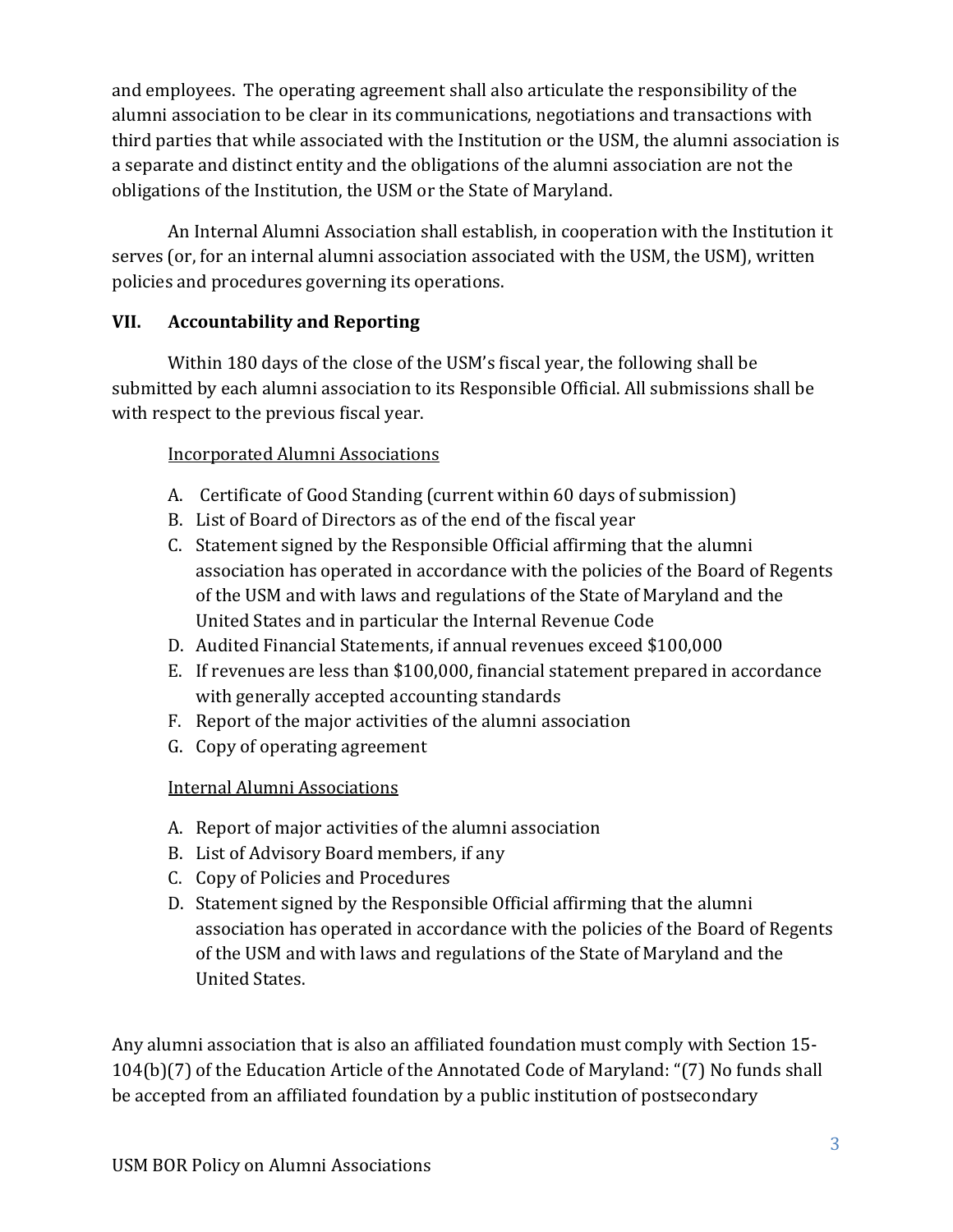and employees. The operating agreement shall also articulate the responsibility of the alumni association to be clear in its communications, negotiations and transactions with third parties that while associated with the Institution or the USM, the alumni association is a separate and distinct entity and the obligations of the alumni association are not the obligations of the Institution, the USM or the State of Maryland.

An Internal Alumni Association shall establish, in cooperation with the Institution it serves (or, for an internal alumni association associated with the USM, the USM), written policies and procedures governing its operations.

## **VII. Accountability and Reporting**

Within 180 days of the close of the USM's fiscal year, the following shall be submitted by each alumni association to its Responsible Official. All submissions shall be with respect to the previous fiscal year.

## Incorporated Alumni Associations

- A. Certificate of Good Standing (current within 60 days of submission)
- B. List of Board of Directors as of the end of the fiscal year
- C. Statement signed by the Responsible Official affirming that the alumni association has operated in accordance with the policies of the Board of Regents of the USM and with laws and regulations of the State of Maryland and the United States and in particular the Internal Revenue Code
- D. Audited Financial Statements, if annual revenues exceed \$100,000
- E. If revenues are less than \$100,000, financial statement prepared in accordance with generally accepted accounting standards
- F. Report of the major activities of the alumni association
- G. Copy of operating agreement

## **Internal Alumni Associations**

- A. Report of major activities of the alumni association
- B. List of Advisory Board members, if any
- C. Copy of Policies and Procedures
- D. Statement signed by the Responsible Official affirming that the alumni association has operated in accordance with the policies of the Board of Regents of the USM and with laws and regulations of the State of Maryland and the United States.

Any alumni association that is also an affiliated foundation must comply with Section 15-104(b)(7) of the Education Article of the Annotated Code of Maryland: "(7) No funds shall be accepted from an affiliated foundation by a public institution of postsecondary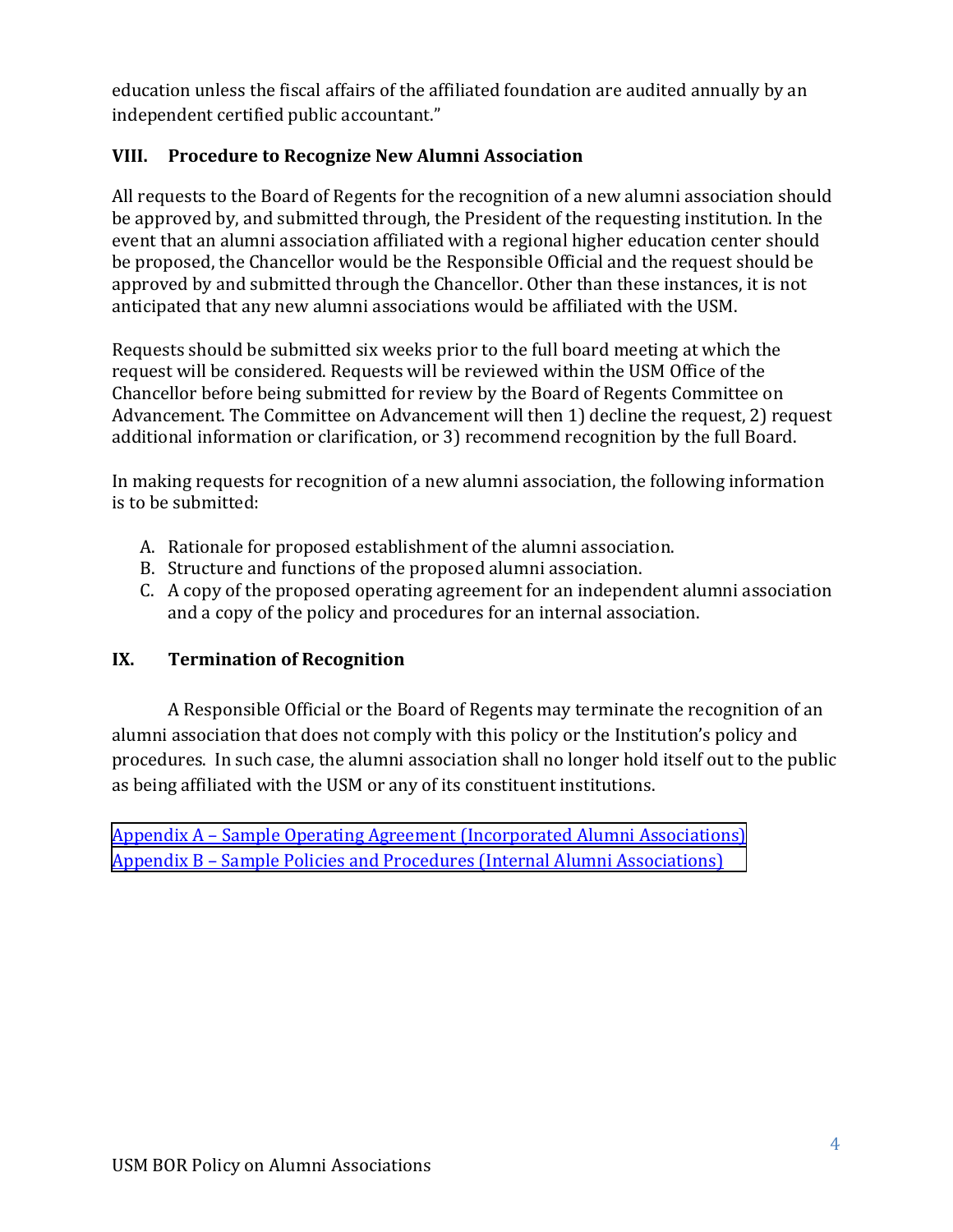education unless the fiscal affairs of the affiliated foundation are audited annually by an independent certified public accountant."

## **VIII. Procedure to Recognize New Alumni Association**

be proposed, the Chancellor would be the Responsible Official and the request should be All requests to the Board of Regents for the recognition of a new alumni association should be approved by, and submitted through, the President of the requesting institution. In the event that an alumni association affiliated with a regional higher education center should approved by and submitted through the Chancellor. Other than these instances, it is not anticipated that any new alumni associations would be affiliated with the USM.

Requests should be submitted six weeks prior to the full board meeting at which the request will be considered. Requests will be reviewed within the USM Office of the Chancellor before being submitted for review by the Board of Regents Committee on Advancement. The Committee on Advancement will then 1) decline the request, 2) request additional information or clarification, or 3) recommend recognition by the full Board.

In making requests for recognition of a new alumni association, the following information is to be submitted:

- A. Rationale for proposed establishment of the alumni association.
- B. Structure and functions of the proposed alumni association.
- C. A copy of the proposed operating agreement for an independent alumni association and a copy of the policy and procedures for an internal association.

## **IX. Termination of Recognition**

A Responsible Official or the Board of Regents may terminate the recognition of an alumni association that does not comply with this policy or the Institution's policy and procedures. In such case, the alumni association shall no longer hold itself out to the public as being affiliated with the USM or any of its constituent institutions.

Appendix A – Sample Operating Agreement (Incorporated Alumni Associations) Appendix B – Sample Policies and Procedures (Internal Alumni Associations)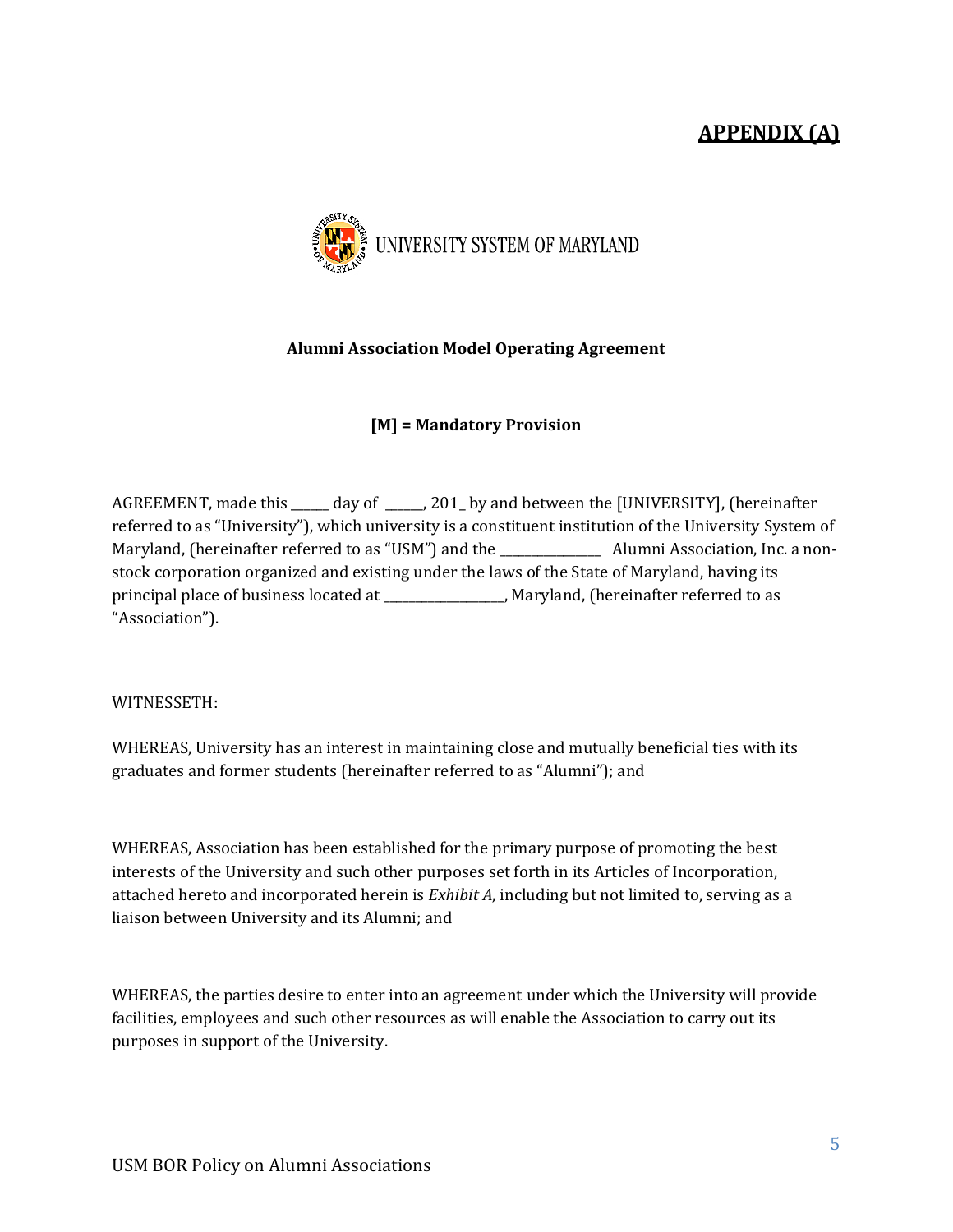# **APPENDIX (A)**

<span id="page-4-0"></span>

#### **Alumni Association Model Operating Agreement**

#### **[M] = Mandatory Provision**

AGREEMENT, made this \_\_\_\_\_\_ day of \_\_\_\_\_, 201\_ by and between the [UNIVERSITY], (hereinafter referred to as "University"), which university is a constituent institution of the University System of Maryland, (hereinafter referred to as "USM") and the Theorus Alumni Association, Inc. a nonstock corporation organized and existing under the laws of the State of Maryland, having its principal place of business located at \_\_\_\_\_\_\_\_\_\_\_\_\_\_\_, Maryland, (hereinafter referred to as "Association"). 

WITNESSETH: 

WHEREAS, University has an interest in maintaining close and mutually beneficial ties with its graduates and former students (hereinafter referred to as "Alumni"); and

attached hereto and incorporated herein is *Exhibit A*, including but not limited to, serving as a WHEREAS, Association has been established for the primary purpose of promoting the best interests of the University and such other purposes set forth in its Articles of Incorporation, liaison between University and its Alumni; and

WHEREAS, the parties desire to enter into an agreement under which the University will provide facilities, employees and such other resources as will enable the Association to carry out its purposes in support of the University.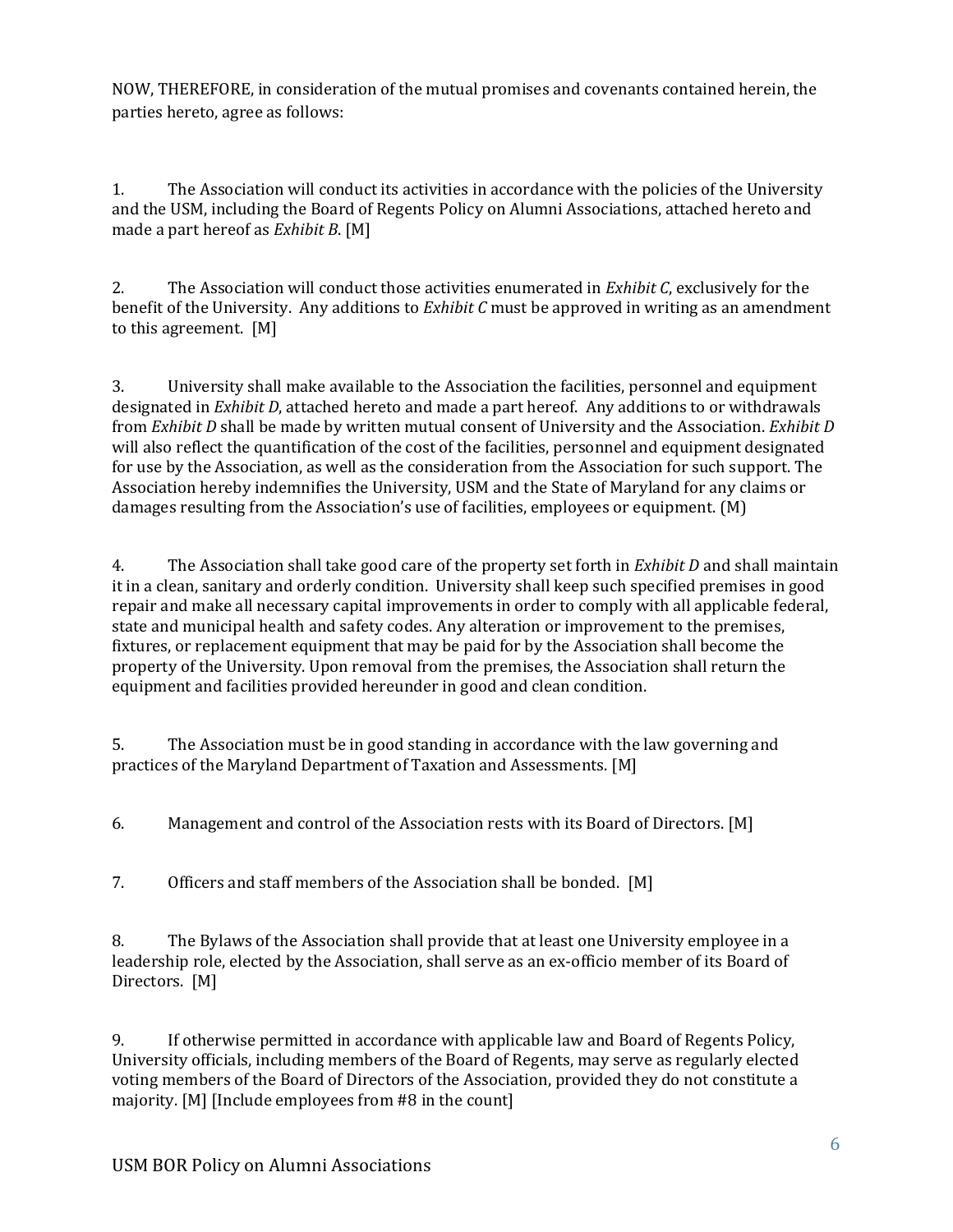NOW, THEREFORE, in consideration of the mutual promises and covenants contained herein, the parties hereto, agree as follows:

1. The Association will conduct its activities in accordance with the policies of the University and the USM, including the Board of Regents Policy on Alumni Associations, attached hereto and made a part hereof as *Exhibit B*. [M]

2. The Association will conduct those activities enumerated in *Exhibit C*, exclusively for the benefit of the University. Any additions to *Exhibit C* must be approved in writing as an amendment to this agreement.  $[M]$ 

will also reflect the quantification of the cost of the facilities, personnel and equipment designated 3. University shall make available to the Association the facilities, personnel and equipment designated in *Exhibit D*, attached hereto and made a part hereof. Any additions to or withdrawals from *Exhibit D* shall be made by written mutual consent of University and the Association. *Exhibit D* for use by the Association, as well as the consideration from the Association for such support. The Association hereby indemnifies the University, USM and the State of Maryland for any claims or damages resulting from the Association's use of facilities, employees or equipment.  $(M)$ 

fixtures, or replacement equipment that may be paid for by the Association shall become the 4. The Association shall take good care of the property set forth in *Exhibit D* and shall maintain it in a clean, sanitary and orderly condition. University shall keep such specified premises in good repair and make all necessary capital improvements in order to comply with all applicable federal, state and municipal health and safety codes. Any alteration or improvement to the premises, property of the University. Upon removal from the premises, the Association shall return the equipment and facilities provided hereunder in good and clean condition.

5. The Association must be in good standing in accordance with the law governing and practices of the Maryland Department of Taxation and Assessments. [M]

6. Management and control of the Association rests with its Board of Directors. [M]

7. Officers and staff members of the Association shall be bonded. [M]

leadership role, elected by the Association, shall serve as an ex-officio member of its Board of 8. The Bylaws of the Association shall provide that at least one University employee in a Directors. [M]

9. If otherwise permitted in accordance with applicable law and Board of Regents Policy, University officials, including members of the Board of Regents, may serve as regularly elected voting members of the Board of Directors of the Association, provided they do not constitute a majority.  $[M]$  [Include employees from #8 in the count]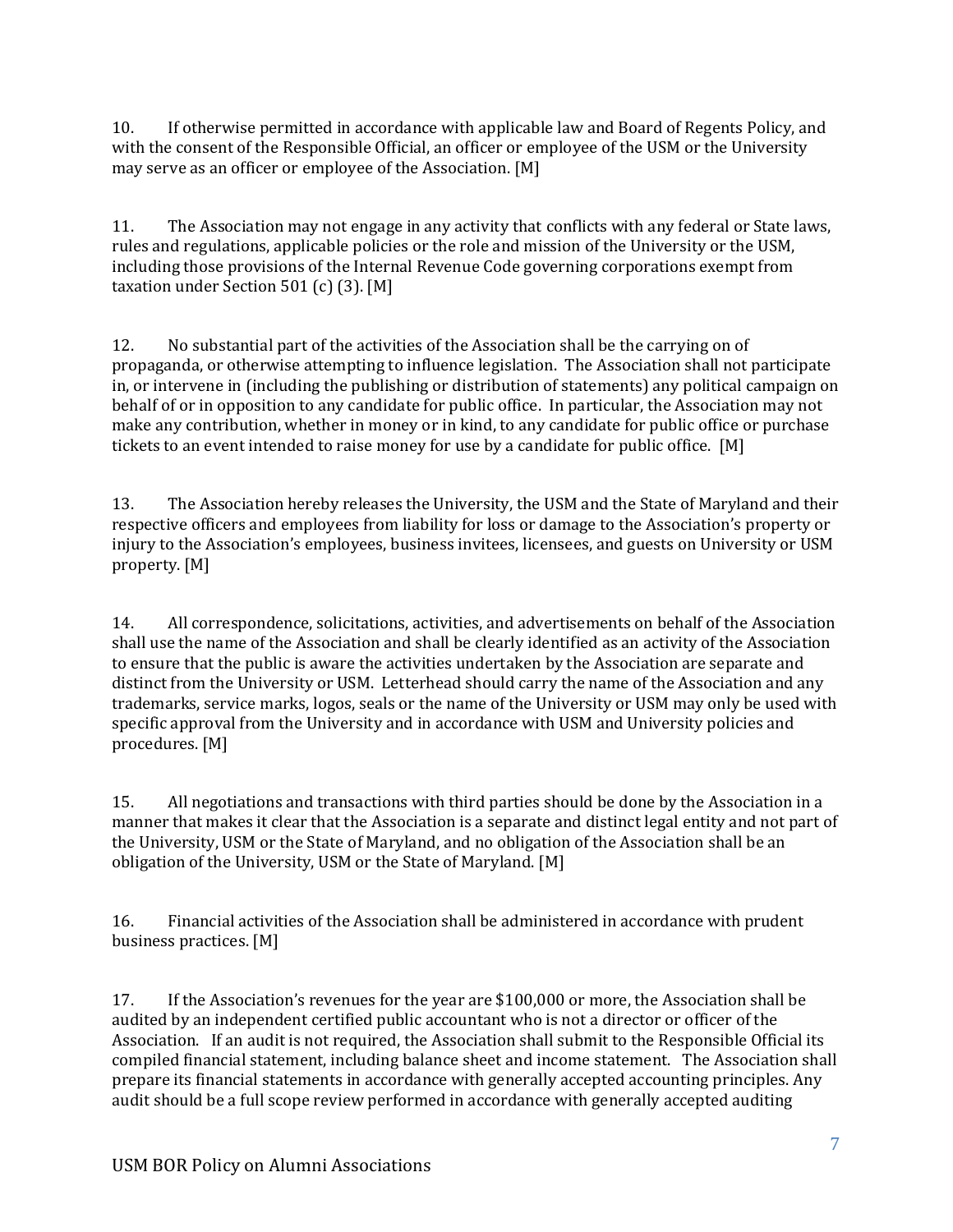10. If otherwise permitted in accordance with applicable law and Board of Regents Policy, and with the consent of the Responsible Official, an officer or employee of the USM or the University may serve as an officer or employee of the Association.  $[M]$ 

including those provisions of the Internal Revenue Code governing corporations exempt from 11. The Association may not engage in any activity that conflicts with any federal or State laws, rules and regulations, applicable policies or the role and mission of the University or the USM, taxation under Section  $501$  (c) (3). [M]

12. No substantial part of the activities of the Association shall be the carrying on of propaganda, or otherwise attempting to influence legislation. The Association shall not participate in, or intervene in (including the publishing or distribution of statements) any political campaign on behalf of or in opposition to any candidate for public office. In particular, the Association may not make any contribution, whether in money or in kind, to any candidate for public office or purchase tickets to an event intended to raise money for use by a candidate for public office. [M]

13. The Association hereby releases the University, the USM and the State of Maryland and their respective officers and employees from liability for loss or damage to the Association's property or injury to the Association's employees, business invitees, licensees, and guests on University or USM property. [M]

trademarks, service marks, logos, seals or the name of the University or USM may only be used with 14. All correspondence, solicitations, activities, and advertisements on behalf of the Association shall use the name of the Association and shall be clearly identified as an activity of the Association to ensure that the public is aware the activities undertaken by the Association are separate and distinct from the University or USM. Letterhead should carry the name of the Association and any specific approval from the University and in accordance with USM and University policies and procedures. [M]

manner that makes it clear that the Association is a separate and distinct legal entity and not part of 15. All negotiations and transactions with third parties should be done by the Association in a the University, USM or the State of Maryland, and no obligation of the Association shall be an obligation of the University, USM or the State of Maryland. [M]

16. Financial activities of the Association shall be administered in accordance with prudent business practices. [M]

compiled financial statement, including balance sheet and income statement. The Association shall 17. If the Association's revenues for the year are \$100,000 or more, the Association shall be audited by an independent certified public accountant who is not a director or officer of the Association. If an audit is not required, the Association shall submit to the Responsible Official its prepare its financial statements in accordance with generally accepted accounting principles. Any audit should be a full scope review performed in accordance with generally accepted auditing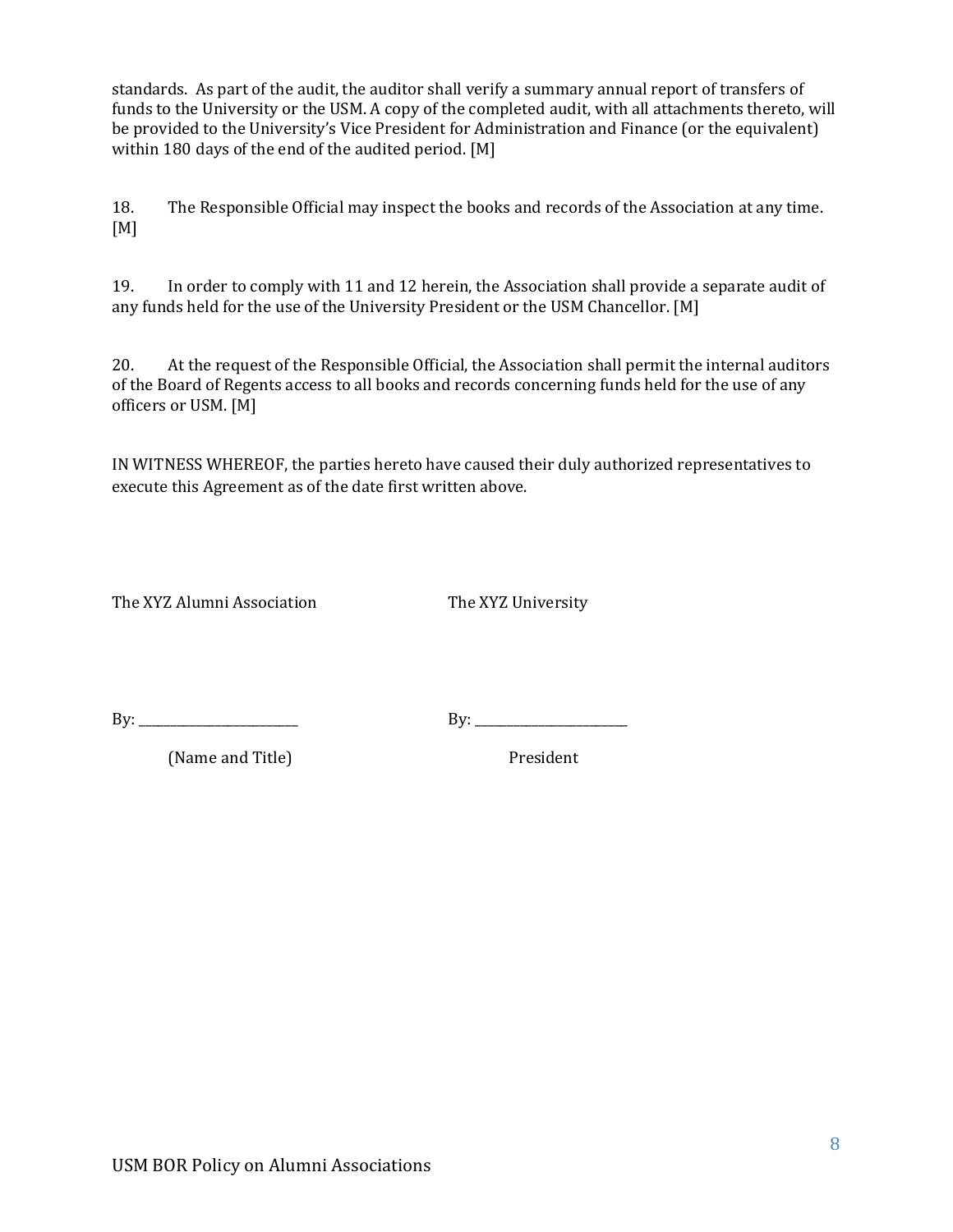be provided to the University's Vice President for Administration and Finance (or the equivalent) standards. As part of the audit, the auditor shall verify a summary annual report of transfers of funds to the University or the USM. A copy of the completed audit, with all attachments thereto, will within 180 days of the end of the audited period.  $[M]$ 

18. The Responsible Official may inspect the books and records of the Association at any time. [M]

19. In order to comply with 11 and 12 herein, the Association shall provide a separate audit of any funds held for the use of the University President or the USM Chancellor. [M]

of the Board of Regents access to all books and records concerning funds held for the use of any 20. At the request of the Responsible Official, the Association shall permit the internal auditors officers or USM. [M]

IN WITNESS WHEREOF, the parties hereto have caused their duly authorized representatives to execute this Agreement as of the date first written above.

The XYZ Alumni Association The XYZ University

e de la construcción de la construcción de la construcción de la construcción de la construcción de la construcción<br>En la construcción de la construcción de la construcción de la construcción de la construcción de la const By: \_\_\_\_\_\_\_\_\_\_\_\_\_\_\_\_\_\_\_\_\_\_\_\_\_ By: \_\_\_\_\_\_\_\_\_\_\_\_\_\_\_\_\_\_\_\_\_\_\_\_

(Name and Title) **President**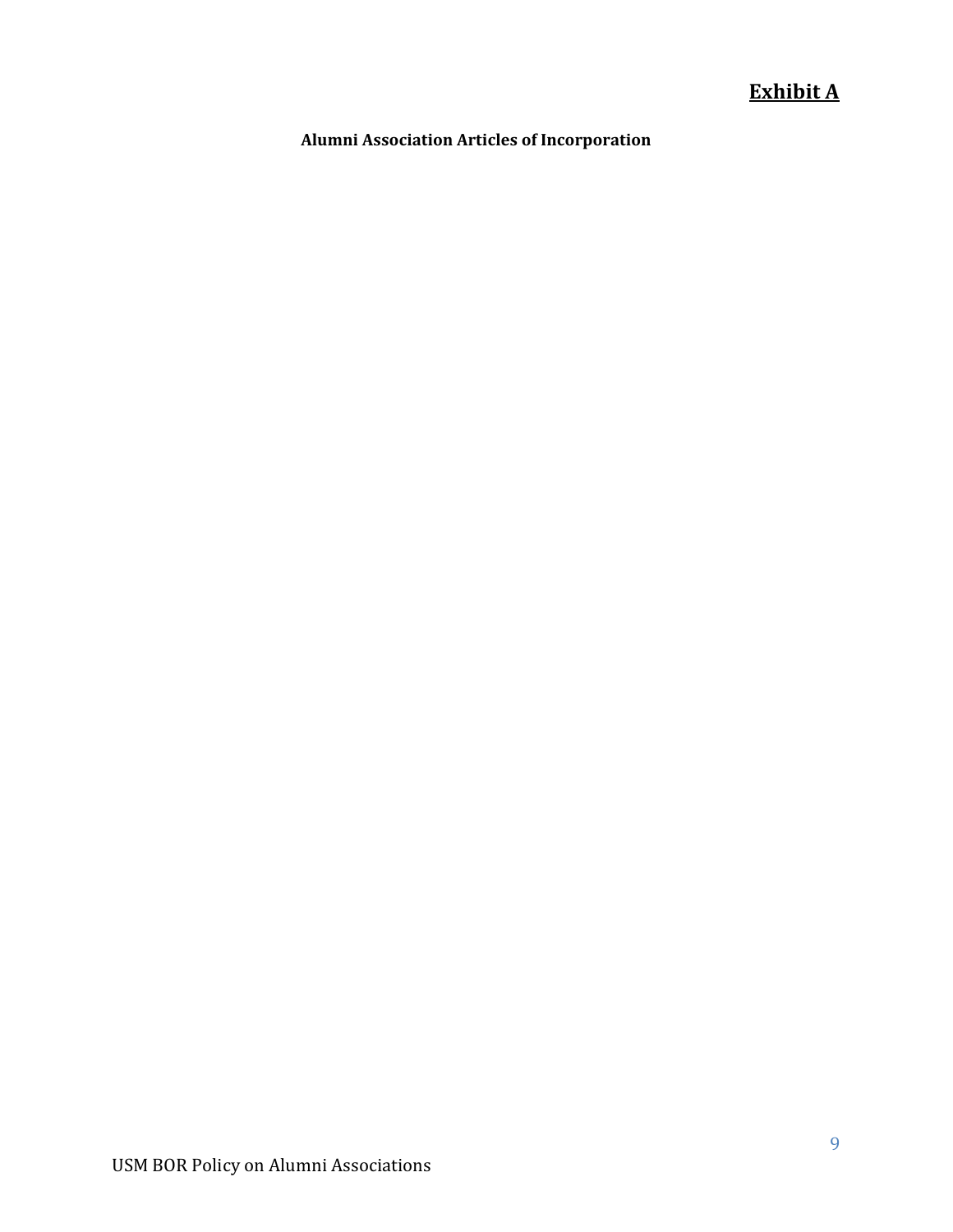## **Exhibit A**

 **Alumni Association Articles of Incorporation**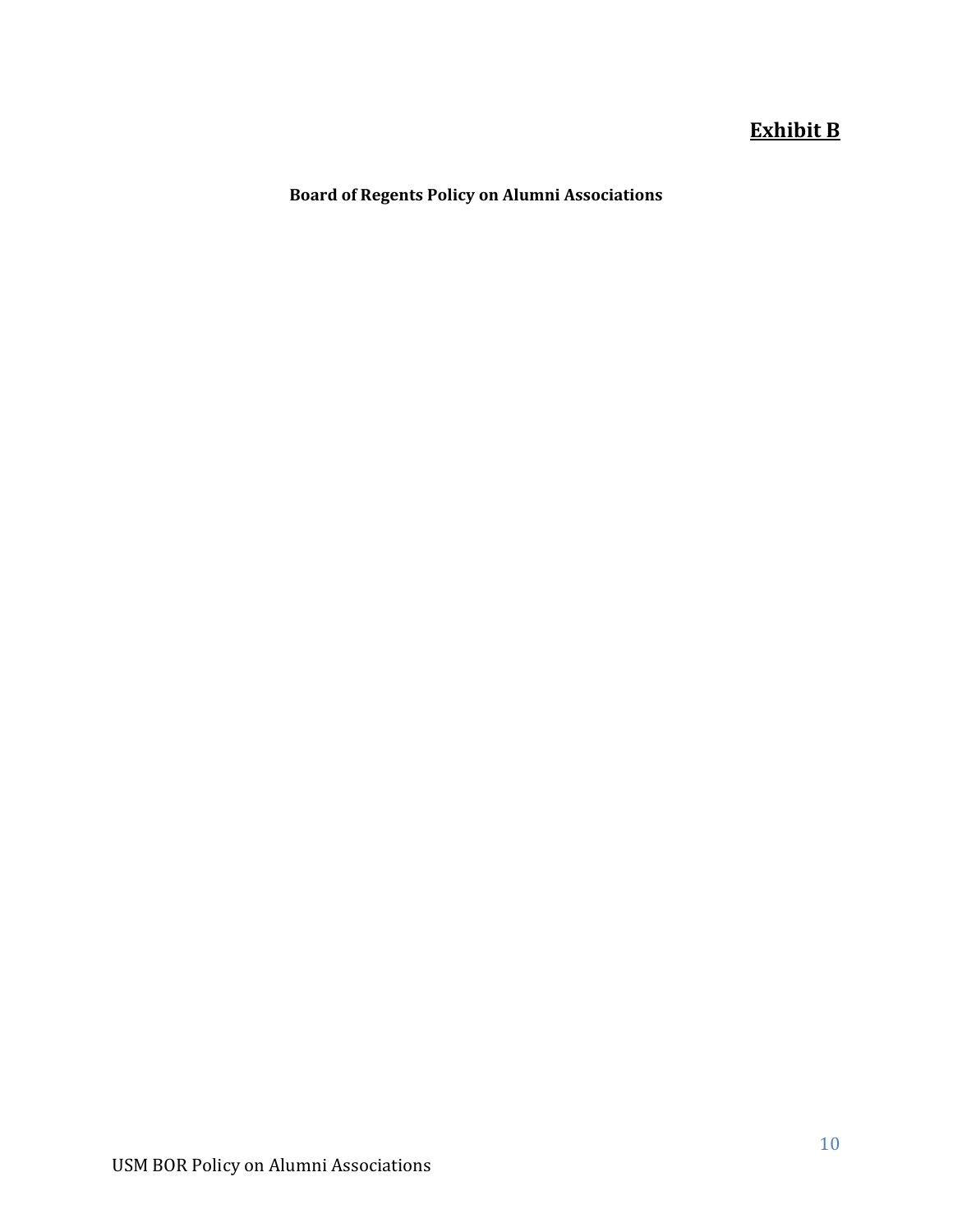## **Exhibit B**

 **Board of Regents Policy on Alumni Associations**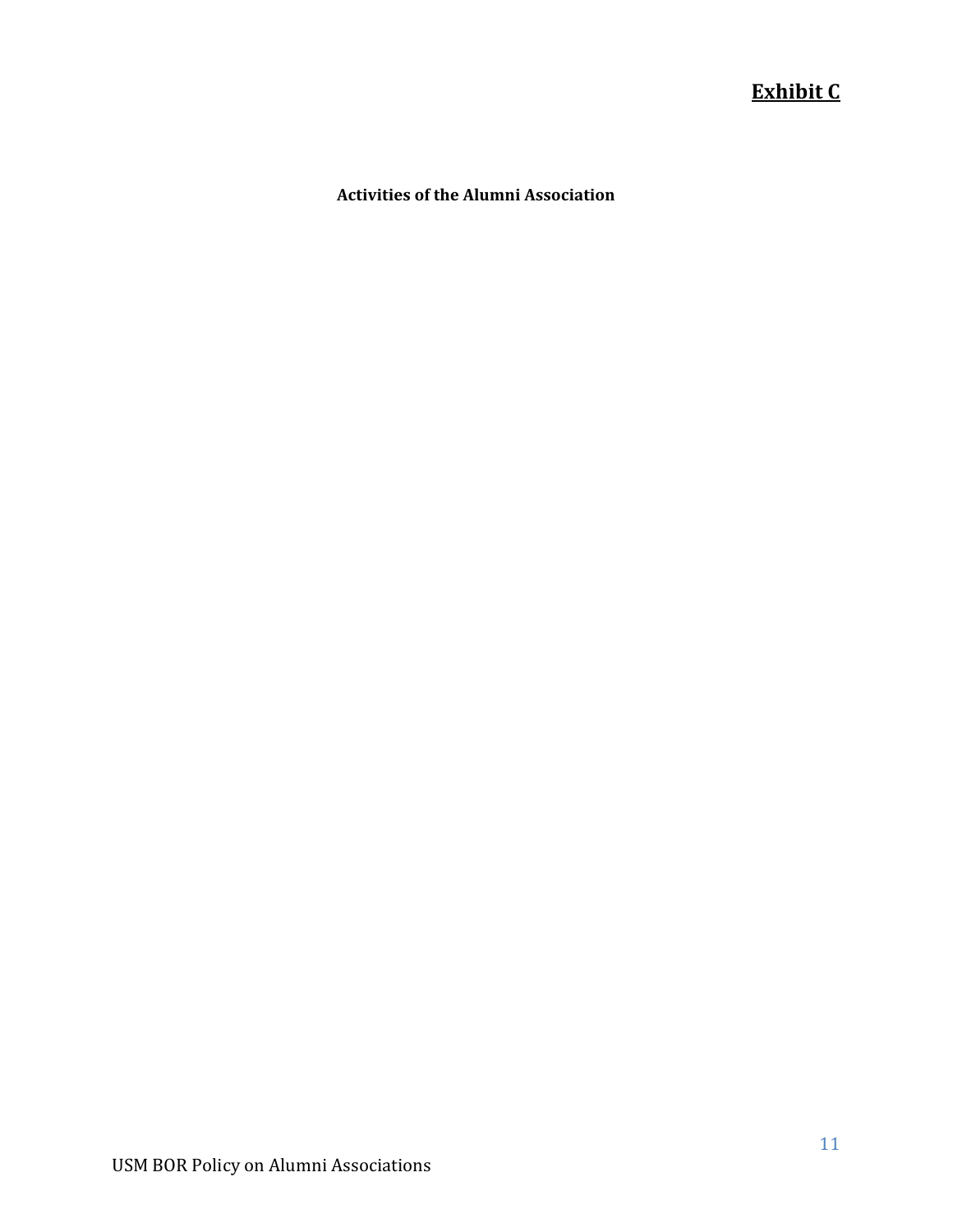## **Exhibit C**

#### **Activities of the Alumni Association**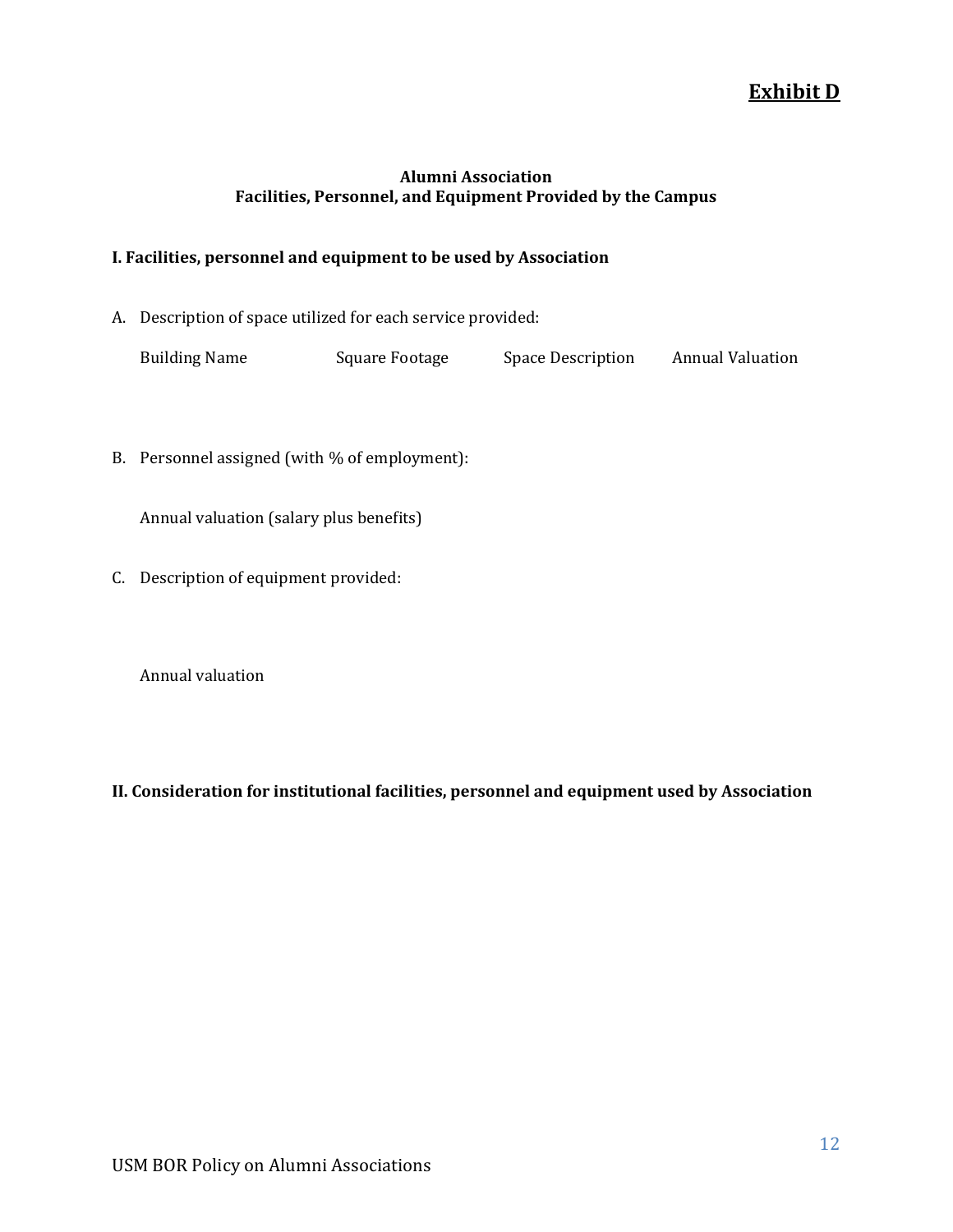## **Exhibit D**

#### **Facilities, Personnel, and Equipment Provided by the Campus Alumni Association**

#### **I. Facilities, personnel and equipment to be used by Association**

A. Description of space utilized for each service provided:

| <b>Building Name</b> | Square Footage | Space Description | <b>Annual Valuation</b> |
|----------------------|----------------|-------------------|-------------------------|
|                      |                |                   |                         |

B. Personnel assigned (with  $%$  of employment):

Annual valuation (salary plus benefits)

C. Description of equipment provided:

Annual valuation

#### **II. Consideration for institutional facilities, personnel and equipment used by Association**